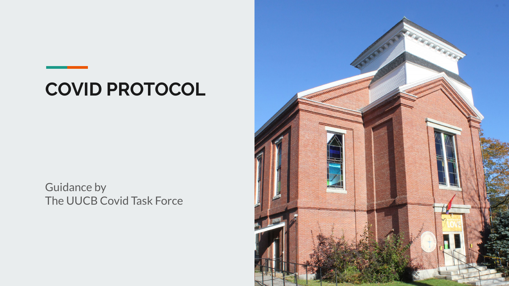## **COVID PROTOCOL**

Guidance by The UUCB Covid Task Force

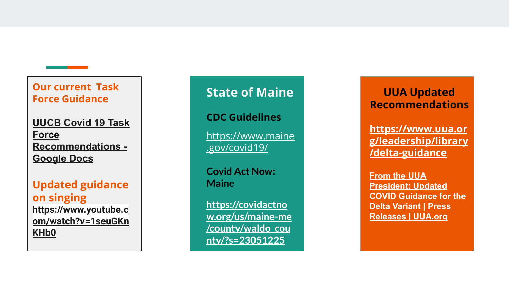#### **Our current Task Force Guidance**

**[UUCB Covid 19 Task](https://docs.google.com/document/d/1WCyV0GdwF8PpOITA_7aMo5mLPY9bydYgrxJfa2ZQKsA/edit) [Force](https://docs.google.com/document/d/1WCyV0GdwF8PpOITA_7aMo5mLPY9bydYgrxJfa2ZQKsA/edit) [Recommendations -](https://docs.google.com/document/d/1WCyV0GdwF8PpOITA_7aMo5mLPY9bydYgrxJfa2ZQKsA/edit) [Google Docs](https://docs.google.com/document/d/1WCyV0GdwF8PpOITA_7aMo5mLPY9bydYgrxJfa2ZQKsA/edit)**

#### **Updated guidance on singing [https://www.youtube.c](https://www.youtube.com/watch?v=1seuGKnKHb0) [om/watch?v=1seuGKn](https://www.youtube.com/watch?v=1seuGKnKHb0) [KHb0](https://www.youtube.com/watch?v=1seuGKnKHb0)**

## **State of Maine**

**CDC Guidelines**

[https://www.maine](https://www.maine.gov/covid19/) [.gov/covid19/](https://www.maine.gov/covid19/)

**Covid Act Now: Maine**

**[https://covidactno](https://covidactnow.org/us/maine-me/county/waldo_county/?s=23051225) [w.org/us/maine-me](https://covidactnow.org/us/maine-me/county/waldo_county/?s=23051225) [/county/waldo\\_cou](https://covidactnow.org/us/maine-me/county/waldo_county/?s=23051225) [nty/?s=23051225](https://covidactnow.org/us/maine-me/county/waldo_county/?s=23051225)**

### **UUA Updated Recommendations**

**[https://www.uua.or](https://www.uua.org/leadership/library/delta-guidance) [g/leadership/library](https://www.uua.org/leadership/library/delta-guidance) [/delta-guidance](https://www.uua.org/leadership/library/delta-guidance)**

**[From the UUA](https://www.uua.org/pressroom/press-releases/guidance-delta-variant) [President: Updated](https://www.uua.org/pressroom/press-releases/guidance-delta-variant) [COVID Guidance for the](https://www.uua.org/pressroom/press-releases/guidance-delta-variant) [Delta Variant | Press](https://www.uua.org/pressroom/press-releases/guidance-delta-variant) [Releases | UUA.org](https://www.uua.org/pressroom/press-releases/guidance-delta-variant)**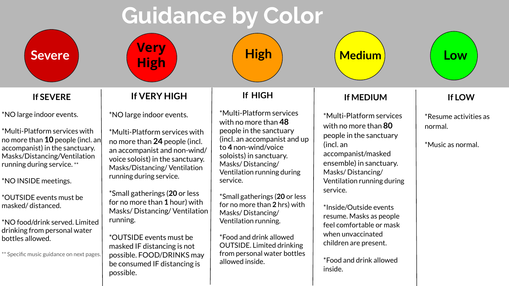# **Guidance by Color**

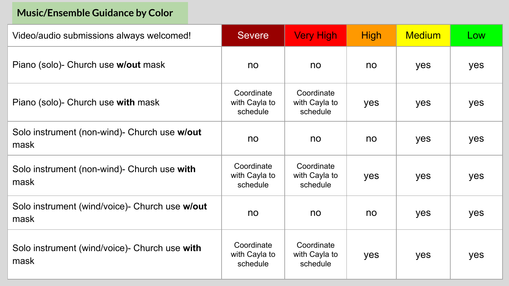### **Music/Ensemble Guidance by Color**

| Video/audio submissions always welcomed!                | <b>Severe</b>                           | <b>Very High</b>                        | <b>High</b> | <b>Medium</b> | Low |
|---------------------------------------------------------|-----------------------------------------|-----------------------------------------|-------------|---------------|-----|
| Piano (solo)- Church use w/out mask                     | no                                      | no                                      | no          | yes           | yes |
| Piano (solo)- Church use with mask                      | Coordinate<br>with Cayla to<br>schedule | Coordinate<br>with Cayla to<br>schedule | yes         | yes           | yes |
| Solo instrument (non-wind)- Church use w/out<br>mask    | no                                      | no                                      | no          | yes           | yes |
| Solo instrument (non-wind)- Church use with<br>mask     | Coordinate<br>with Cayla to<br>schedule | Coordinate<br>with Cayla to<br>schedule | yes         | yes           | yes |
| Solo instrument (wind/voice) - Church use w/out<br>mask | no                                      | no                                      | no          | yes           | yes |
| Solo instrument (wind/voice)- Church use with<br>mask   | Coordinate<br>with Cayla to<br>schedule | Coordinate<br>with Cayla to<br>schedule | yes         | yes           | yes |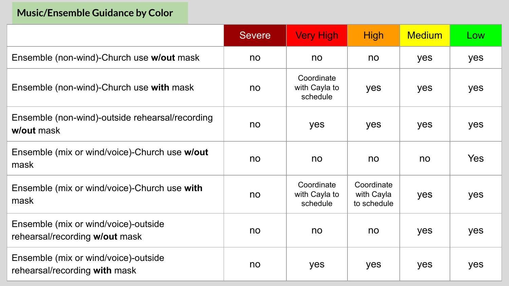### **Music/Ensemble Guidance by Color**

|                                                                        | <b>Severe</b> | <b>Very High</b>                        | <b>High</b>                             | <b>Medium</b> | Low        |
|------------------------------------------------------------------------|---------------|-----------------------------------------|-----------------------------------------|---------------|------------|
| Ensemble (non-wind)-Church use w/out mask                              | no            | no                                      | no                                      | yes           | yes        |
| Ensemble (non-wind)-Church use with mask                               | no            | Coordinate<br>with Cayla to<br>schedule | yes                                     | yes           | yes        |
| Ensemble (non-wind)-outside rehearsal/recording<br>w/out mask          | no            | yes                                     | yes                                     | yes           | yes        |
| Ensemble (mix or wind/voice)-Church use w/out<br>mask                  | no            | no                                      | no                                      | no            | <b>Yes</b> |
| Ensemble (mix or wind/voice)-Church use with<br>mask                   | no            | Coordinate<br>with Cayla to<br>schedule | Coordinate<br>with Cayla<br>to schedule | yes           | yes        |
| Ensemble (mix or wind/voice)-outside<br>rehearsal/recording w/out mask | no            | no                                      | no                                      | yes           | yes        |
| Ensemble (mix or wind/voice)-outside<br>rehearsal/recording with mask  | no            | yes                                     | yes                                     | yes           | yes        |